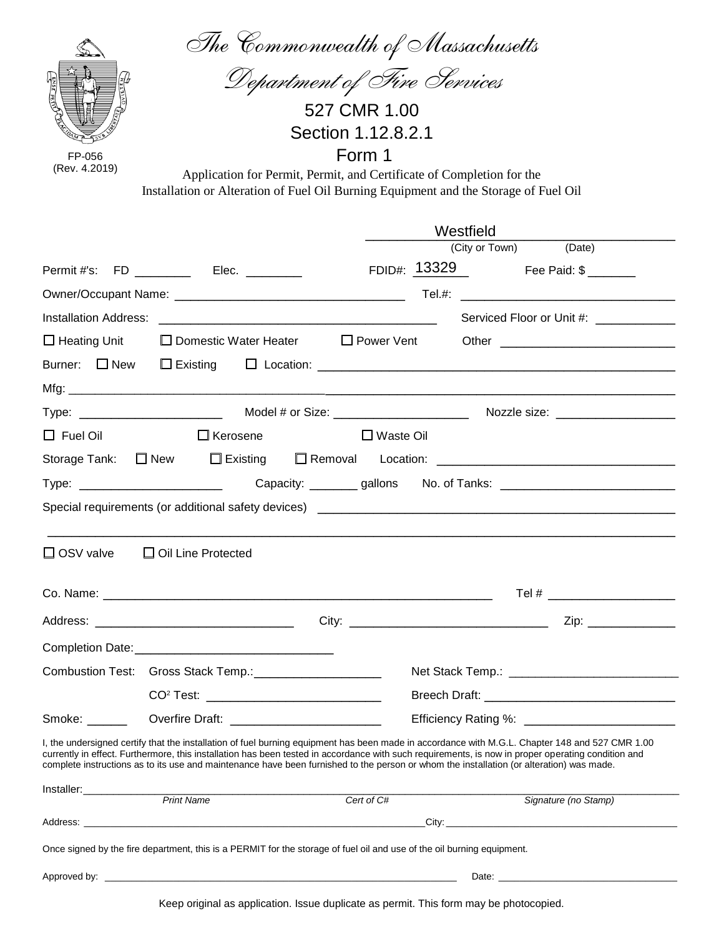| FP-056<br>(Rev. 4.2019)  | The Commonwealth of Massachusetts<br>Department of Fire Services<br>Application for Permit, Permit, and Certificate of Completion for the<br>Installation or Alteration of Fuel Oil Burning Equipment and the Storage of Fuel Oil                                                                                                                                                                                                                 | 527 CMR 1.00<br>Section 1.12.8.2.1<br>Form 1 |                             |                                         |
|--------------------------|---------------------------------------------------------------------------------------------------------------------------------------------------------------------------------------------------------------------------------------------------------------------------------------------------------------------------------------------------------------------------------------------------------------------------------------------------|----------------------------------------------|-----------------------------|-----------------------------------------|
|                          |                                                                                                                                                                                                                                                                                                                                                                                                                                                   |                                              | Westfield                   |                                         |
|                          |                                                                                                                                                                                                                                                                                                                                                                                                                                                   |                                              | (City or Town)              | (Date)                                  |
|                          | Permit #'s: FD ________ Elec. _______                                                                                                                                                                                                                                                                                                                                                                                                             |                                              | FDID#: $13329$ Fee Paid: \$ |                                         |
|                          |                                                                                                                                                                                                                                                                                                                                                                                                                                                   |                                              |                             |                                         |
|                          |                                                                                                                                                                                                                                                                                                                                                                                                                                                   |                                              |                             | Serviced Floor or Unit #: _____________ |
| $\Box$ Heating Unit      | $\Box$ Domestic Water Heater $\Box$ Power Vent                                                                                                                                                                                                                                                                                                                                                                                                    |                                              |                             |                                         |
| Burner: $\square$ New    |                                                                                                                                                                                                                                                                                                                                                                                                                                                   |                                              |                             |                                         |
|                          |                                                                                                                                                                                                                                                                                                                                                                                                                                                   |                                              |                             |                                         |
|                          |                                                                                                                                                                                                                                                                                                                                                                                                                                                   |                                              |                             |                                         |
| $\Box$ Fuel Oil          | $\Box$ Kerosene                                                                                                                                                                                                                                                                                                                                                                                                                                   | $\Box$ Waste Oil                             |                             |                                         |
| Storage Tank: $\Box$ New |                                                                                                                                                                                                                                                                                                                                                                                                                                                   |                                              |                             |                                         |
|                          | Type: _________________________  Capacity: ________ gallons  No. of Tanks: ______________________________                                                                                                                                                                                                                                                                                                                                         |                                              |                             |                                         |
|                          |                                                                                                                                                                                                                                                                                                                                                                                                                                                   |                                              |                             |                                         |
|                          | □ OSV valve □ Oil Line Protected                                                                                                                                                                                                                                                                                                                                                                                                                  |                                              |                             |                                         |
|                          |                                                                                                                                                                                                                                                                                                                                                                                                                                                   |                                              |                             |                                         |
|                          |                                                                                                                                                                                                                                                                                                                                                                                                                                                   |                                              |                             | Zip:                                    |
|                          |                                                                                                                                                                                                                                                                                                                                                                                                                                                   |                                              |                             |                                         |
|                          | Combustion Test: Gross Stack Temp.: ______________________                                                                                                                                                                                                                                                                                                                                                                                        |                                              |                             |                                         |
|                          |                                                                                                                                                                                                                                                                                                                                                                                                                                                   |                                              |                             |                                         |
| Smoke: ______            |                                                                                                                                                                                                                                                                                                                                                                                                                                                   |                                              |                             |                                         |
|                          | I, the undersigned certify that the installation of fuel burning equipment has been made in accordance with M.G.L. Chapter 148 and 527 CMR 1.00<br>currently in effect. Furthermore, this installation has been tested in accordance with such requirements, is now in proper operating condition and<br>complete instructions as to its use and maintenance have been furnished to the person or whom the installation (or alteration) was made. |                                              |                             |                                         |
|                          | <b>Print Name</b>                                                                                                                                                                                                                                                                                                                                                                                                                                 | Cert of C#                                   |                             | Signature (no Stamp)                    |
|                          |                                                                                                                                                                                                                                                                                                                                                                                                                                                   |                                              |                             |                                         |
|                          | Once signed by the fire department, this is a PERMIT for the storage of fuel oil and use of the oil burning equipment.                                                                                                                                                                                                                                                                                                                            |                                              |                             |                                         |
|                          |                                                                                                                                                                                                                                                                                                                                                                                                                                                   |                                              |                             |                                         |

Keep original as application. Issue duplicate as permit. This form may be photocopied.